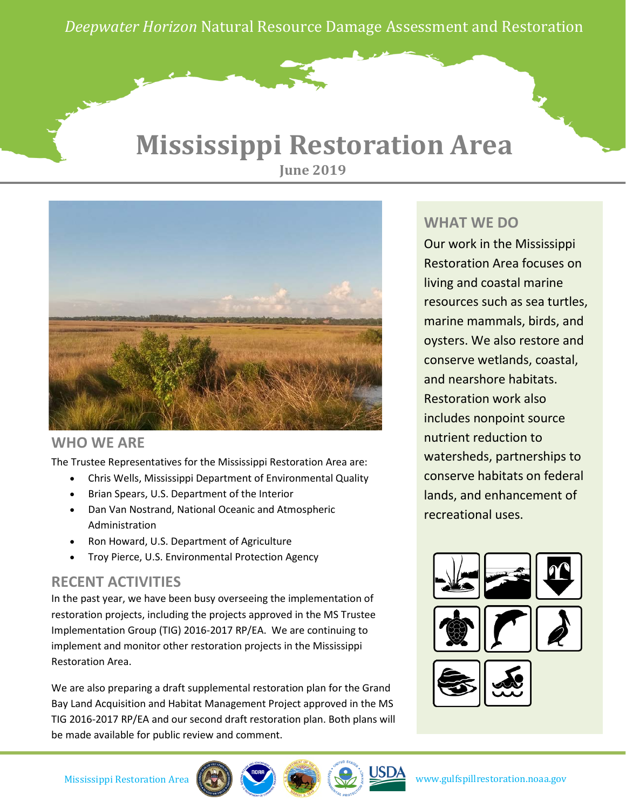*Deepwater Horizon* Natural Resource Damage Assessment and Restoration

## **Mississippi Restoration Area June 2019**



### **WHO WE ARE**

The Trustee Representatives for the Mississippi Restoration Area are:

- Chris Wells, Mississippi Department of Environmental Quality
- Brian Spears, U.S. Department of the Interior
- Dan Van Nostrand, National Oceanic and Atmospheric Administration
- Ron Howard, U.S. Department of Agriculture
- Troy Pierce, U.S. Environmental Protection Agency

### **RECENT ACTIVITIES**

In the past year, we have been busy overseeing the implementation of restoration projects, including the projects approved in the MS Trustee Implementation Group (TIG) 2016-2017 RP/EA. We are continuing to implement and monitor other restoration projects in the Mississippi Restoration Area.

We are also preparing a draft supplemental restoration plan for the Grand Bay Land Acquisition and Habitat Management Project approved in the MS TIG 2016-2017 RP/EA and our second draft restoration plan. Both plans will be made available for public review and comment.

### **WHAT WE DO**

Our work in the Mississippi Restoration Area focuses on living and coastal marine resources such as sea turtles, marine mammals, birds, and oysters. We also restore and conserve wetlands, coastal, and nearshore habitats. Restoration work also includes nonpoint source nutrient reduction to watersheds, partnerships to conserve habitats on federal lands, and enhancement of recreational uses.